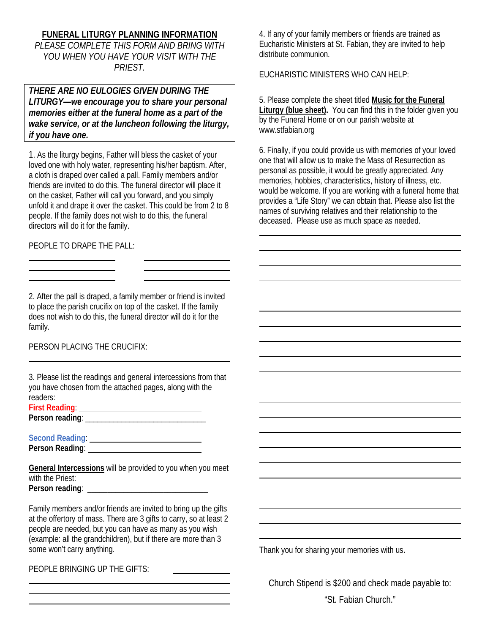## **FUNERAL LITURGY PLANNING INFORMATION**

*PLEASE COMPLETE THIS FORM AND BRING WITH YOU WHEN YOU HAVE YOUR VISIT WITH THE PRIEST.* 

*THERE ARE NO EULOGIES GIVEN DURING THE LITURGY—we encourage you to share your personal memories either at the funeral home as a part of the wake service, or at the luncheon following the liturgy, if you have one.* 

1. As the liturgy begins, Father will bless the casket of your loved one with holy water, representing his/her baptism. After, a cloth is draped over called a pall. Family members and/or friends are invited to do this. The funeral director will place it on the casket, Father will call you forward, and you simply unfold it and drape it over the casket. This could be from 2 to 8 people. If the family does not wish to do this, the funeral directors will do it for the family.

#### PEOPLE TO DRAPE THE PALL:

2. After the pall is draped, a family member or friend is invited to place the parish crucifix on top of the casket. If the family does not wish to do this, the funeral director will do it for the family.

#### PERSON PLACING THE CRUCIFIX:

3. Please list the readings and general intercessions from that you have chosen from the attached pages, along with the readers:

## **First Reading**:

**Person reading**: \_\_\_\_\_\_\_\_\_\_\_\_\_\_\_\_\_\_\_\_\_\_\_\_\_\_\_\_\_\_

**Second Reading**: **Person Reading**:

**General Intercessions** will be provided to you when you meet with the Priest: **Person reading**: \_\_\_\_\_\_\_\_\_\_\_\_\_\_\_\_\_\_\_\_\_\_\_\_\_\_\_\_\_\_

Family members and/or friends are invited to bring up the gifts at the offertory of mass. There are 3 gifts to carry, so at least 2 people are needed, but you can have as many as you wish (example: all the grandchildren), but if there are more than 3 some won't carry anything.

PEOPLE BRINGING UP THE GIFTS:

4. If any of your family members or friends are trained as Eucharistic Ministers at St. Fabian, they are invited to help distribute communion.

EUCHARISTIC MINISTERS WHO CAN HELP:

5. Please complete the sheet titled **Music for the Funeral Liturgy (blue sheet).** You can find this in the folder given you by the Funeral Home or on our parish website at www.stfabian.org

6. Finally, if you could provide us with memories of your loved one that will allow us to make the Mass of Resurrection as personal as possible, it would be greatly appreciated. Any memories, hobbies, characteristics, history of illness, etc. would be welcome. If you are working with a funeral home that provides a "Life Story" we can obtain that. Please also list the names of surviving relatives and their relationship to the deceased. Please use as much space as needed.

Thank you for sharing your memories with us.

Church Stipend is \$200 and check made payable to:

"St. Fabian Church."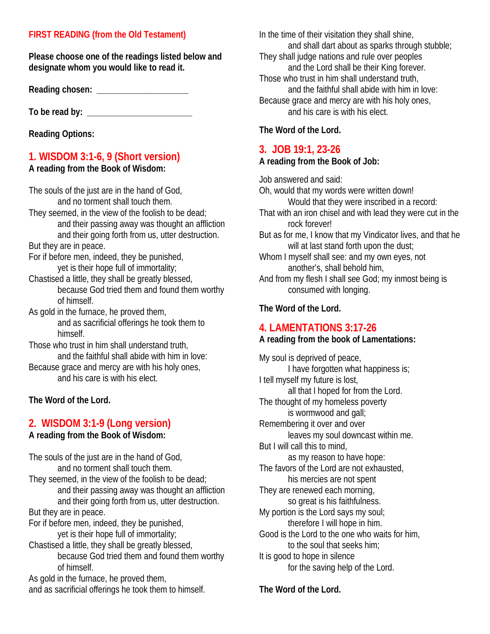## **FIRST READING (from the Old Testament)**

**Please choose one of the readings listed below and designate whom you would like to read it.**

**Reading chosen:** \_\_\_\_\_\_\_\_\_\_\_\_\_\_\_\_\_\_\_\_\_\_\_

**To be read by: \_\_\_\_\_\_\_\_\_\_\_\_\_\_\_\_\_\_\_\_\_\_\_\_**

**Reading Options:**

# **1. WISDOM 3:1-6, 9 (Short version)**

**A reading from the Book of Wisdom:**

The souls of the just are in the hand of God, and no torment shall touch them. They seemed, in the view of the foolish to be dead; and their passing away was thought an affliction and their going forth from us, utter destruction. But they are in peace. For if before men, indeed, they be punished, yet is their hope full of immortality;

Chastised a little, they shall be greatly blessed, because God tried them and found them worthy of himself.

As gold in the furnace, he proved them, and as sacrificial offerings he took them to himself.

Those who trust in him shall understand truth, and the faithful shall abide with him in love: Because grace and mercy are with his holy ones, and his care is with his elect.

**The Word of the Lord.**

# **2. WISDOM 3:1-9 (Long version)**

**A reading from the Book of Wisdom:**

The souls of the just are in the hand of God, and no torment shall touch them. They seemed, in the view of the foolish to be dead; and their passing away was thought an affliction and their going forth from us, utter destruction. But they are in peace. For if before men, indeed, they be punished, yet is their hope full of immortality; Chastised a little, they shall be greatly blessed, because God tried them and found them worthy

of himself. As gold in the furnace, he proved them, and as sacrificial offerings he took them to himself. In the time of their visitation they shall shine, and shall dart about as sparks through stubble; They shall judge nations and rule over peoples and the Lord shall be their King forever. Those who trust in him shall understand truth, and the faithful shall abide with him in love: Because grace and mercy are with his holy ones, and his care is with his elect.

## **The Word of the Lord.**

## **3. JOB 19:1, 23-26**

**A reading from the Book of Job:**

Job answered and said:

Oh, would that my words were written down! Would that they were inscribed in a record: That with an iron chisel and with lead they were cut in the rock forever!

But as for me, I know that my Vindicator lives, and that he will at last stand forth upon the dust;

Whom I myself shall see: and my own eyes, not another's, shall behold him,

And from my flesh I shall see God; my inmost being is consumed with longing.

## **The Word of the Lord.**

## **4. LAMENTATIONS 3:17-26**

**A reading from the book of Lamentations:**

My soul is deprived of peace, I have forgotten what happiness is; I tell myself my future is lost, all that I hoped for from the Lord. The thought of my homeless poverty is wormwood and gall; Remembering it over and over leaves my soul downcast within me. But I will call this to mind, as my reason to have hope: The favors of the Lord are not exhausted, his mercies are not spent They are renewed each morning, so great is his faithfulness. My portion is the Lord says my soul; therefore I will hope in him. Good is the Lord to the one who waits for him, to the soul that seeks him; It is good to hope in silence for the saving help of the Lord.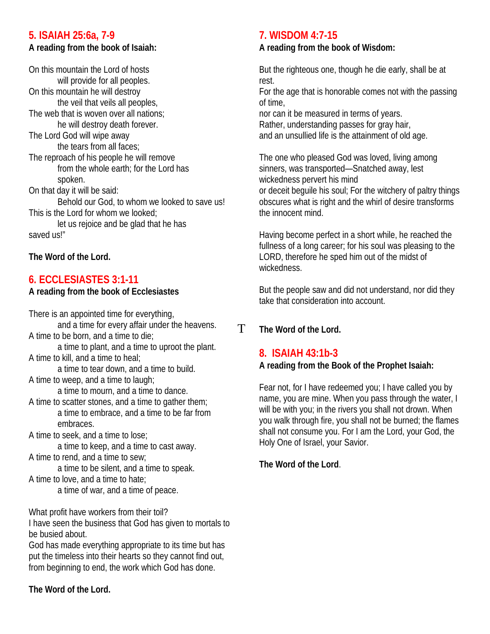# **5. ISAIAH 25:6a, 7-9**

## **A reading from the book of Isaiah:**

On this mountain the Lord of hosts will provide for all peoples. On this mountain he will destroy the veil that veils all peoples, The web that is woven over all nations; he will destroy death forever. The Lord God will wipe away the tears from all faces; The reproach of his people he will remove from the whole earth; for the Lord has spoken. On that day it will be said: Behold our God, to whom we looked to save us! This is the Lord for whom we looked; let us rejoice and be glad that he has saved us!"

**The Word of the Lord.**

# **6. ECCLESIASTES 3:1-11**

## **A reading from the book of Ecclesiastes**

There is an appointed time for everything, and a time for every affair under the heavens. A time to be born, and a time to die; a time to plant, and a time to uproot the plant. A time to kill, and a time to heal; a time to tear down, and a time to build. A time to weep, and a time to laugh; a time to mourn, and a time to dance.

A time to scatter stones, and a time to gather them; a time to embrace, and a time to be far from embraces.

- A time to seek, and a time to lose; a time to keep, and a time to cast away.
- A time to rend, and a time to sew;

a time to be silent, and a time to speak.

A time to love, and a time to hate;

a time of war, and a time of peace.

What profit have workers from their toil?

I have seen the business that God has given to mortals to be busied about.

God has made everything appropriate to its time but has put the timeless into their hearts so they cannot find out, from beginning to end, the work which God has done.

## **The Word of the Lord.**

# **7. WISDOM 4:7-15**

## **A reading from the book of Wisdom:**

But the righteous one, though he die early, shall be at rest.

For the age that is honorable comes not with the passing of time,

nor can it be measured in terms of years. Rather, understanding passes for gray hair, and an unsullied life is the attainment of old age.

The one who pleased God was loved, living among sinners, was transported—Snatched away, lest wickedness pervert his mind or deceit beguile his soul; For the witchery of paltry things obscures what is right and the whirl of desire transforms the innocent mind.

Having become perfect in a short while, he reached the fullness of a long career; for his soul was pleasing to the LORD, therefore he sped him out of the midst of wickedness.

But the people saw and did not understand, nor did they take that consideration into account.

# T **The Word of the Lord.**

# **8. ISAIAH 43:1b-3**

## **A reading from the Book of the Prophet Isaiah:**

Fear not, for I have redeemed you; I have called you by name, you are mine. When you pass through the water, I will be with you; in the rivers you shall not drown. When you walk through fire, you shall not be burned; the flames shall not consume you. For I am the Lord, your God, the Holy One of Israel, your Savior.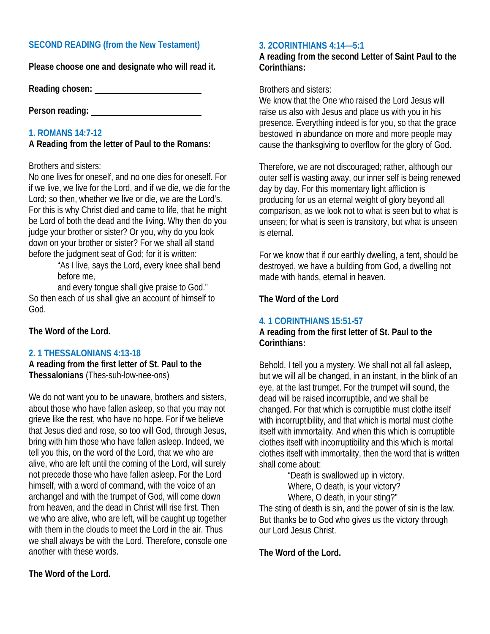## **SECOND READING (from the New Testament)**

**Please choose one and designate who will read it.**

**Reading chosen:** 

**Person reading:** 

## **1. ROMANS 14:7-12**

**A Reading from the letter of Paul to the Romans:**

## Brothers and sisters:

No one lives for oneself, and no one dies for oneself. For if we live, we live for the Lord, and if we die, we die for the Lord; so then, whether we live or die, we are the Lord's. For this is why Christ died and came to life, that he might be Lord of both the dead and the living. Why then do you judge your brother or sister? Or you, why do you look down on your brother or sister? For we shall all stand before the judgment seat of God; for it is written:

"As I live, says the Lord, every knee shall bend before me,

and every tongue shall give praise to God." So then each of us shall give an account of himself to God.

**The Word of the Lord.**

## **2. 1 THESSALONIANS 4:13-18**

**A reading from the first letter of St. Paul to the Thessalonians** (Thes-suh-low-nee-ons)

We do not want you to be unaware, brothers and sisters, about those who have fallen asleep, so that you may not grieve like the rest, who have no hope. For if we believe that Jesus died and rose, so too will God, through Jesus, bring with him those who have fallen asleep. Indeed, we tell you this, on the word of the Lord, that we who are alive, who are left until the coming of the Lord, will surely not precede those who have fallen asleep. For the Lord himself, with a word of command, with the voice of an archangel and with the trumpet of God, will come down from heaven, and the dead in Christ will rise first. Then we who are alive, who are left, will be caught up together with them in the clouds to meet the Lord in the air. Thus we shall always be with the Lord. Therefore, console one another with these words.

## **3. 2CORINTHIANS 4:14—5:1**

**A reading from the second Letter of Saint Paul to the Corinthians:**

Brothers and sisters:

We know that the One who raised the Lord Jesus will raise us also with Jesus and place us with you in his presence. Everything indeed is for you, so that the grace bestowed in abundance on more and more people may cause the thanksgiving to overflow for the glory of God.

Therefore, we are not discouraged; rather, although our outer self is wasting away, our inner self is being renewed day by day. For this momentary light affliction is producing for us an eternal weight of glory beyond all comparison, as we look not to what is seen but to what is unseen; for what is seen is transitory, but what is unseen is eternal.

For we know that if our earthly dwelling, a tent, should be destroyed, we have a building from God, a dwelling not made with hands, eternal in heaven.

## **The Word of the Lord**

## **4. 1 CORINTHIANS 15:51-57**

**A reading from the first letter of St. Paul to the Corinthians:**

Behold, I tell you a mystery. We shall not all fall asleep, but we will all be changed, in an instant, in the blink of an eye, at the last trumpet. For the trumpet will sound, the dead will be raised incorruptible, and we shall be changed. For that which is corruptible must clothe itself with incorruptibility, and that which is mortal must clothe itself with immortality. And when this which is corruptible clothes itself with incorruptibility and this which is mortal clothes itself with immortality, then the word that is written shall come about:

"Death is swallowed up in victory.

Where, O death, is your victory?

Where, O death, in your sting?"

The sting of death is sin, and the power of sin is the law. But thanks be to God who gives us the victory through our Lord Jesus Christ.

**The Word of the Lord.**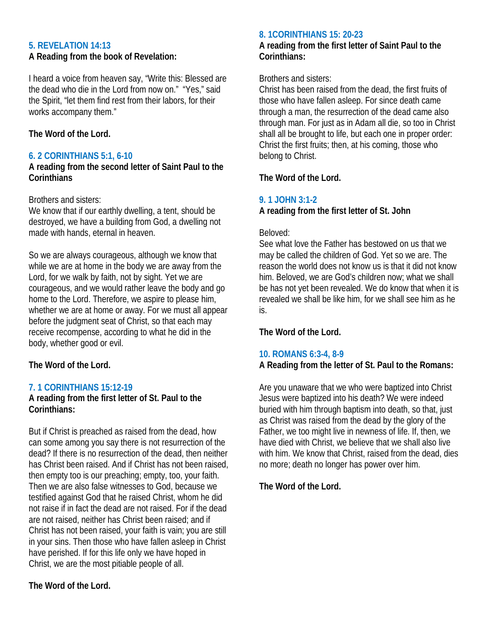#### **5. REVELATION 14:13**

#### **A Reading from the book of Revelation:**

I heard a voice from heaven say, "Write this: Blessed are the dead who die in the Lord from now on." "Yes," said the Spirit, "let them find rest from their labors, for their works accompany them."

## **The Word of the Lord.**

### **6. 2 CORINTHIANS 5:1, 6-10**

#### **A reading from the second letter of Saint Paul to the Corinthians**

Brothers and sisters:

We know that if our earthly dwelling, a tent, should be destroyed, we have a building from God, a dwelling not made with hands, eternal in heaven.

So we are always courageous, although we know that while we are at home in the body we are away from the Lord, for we walk by faith, not by sight. Yet we are courageous, and we would rather leave the body and go home to the Lord. Therefore, we aspire to please him, whether we are at home or away. For we must all appear before the judgment seat of Christ, so that each may receive recompense, according to what he did in the body, whether good or evil.

## **The Word of the Lord.**

## **7. 1 CORINTHIANS 15:12-19**

#### **A reading from the first letter of St. Paul to the Corinthians:**

But if Christ is preached as raised from the dead, how can some among you say there is not resurrection of the dead? If there is no resurrection of the dead, then neither has Christ been raised. And if Christ has not been raised, then empty too is our preaching; empty, too, your faith. Then we are also false witnesses to God, because we testified against God that he raised Christ, whom he did not raise if in fact the dead are not raised. For if the dead are not raised, neither has Christ been raised; and if Christ has not been raised, your faith is vain; you are still in your sins. Then those who have fallen asleep in Christ have perished. If for this life only we have hoped in Christ, we are the most pitiable people of all.

## **8. 1CORINTHIANS 15: 20-23**

## **A reading from the first letter of Saint Paul to the Corinthians:**

Brothers and sisters:

Christ has been raised from the dead, the first fruits of those who have fallen asleep. For since death came through a man, the resurrection of the dead came also through man. For just as in Adam all die, so too in Christ shall all be brought to life, but each one in proper order: Christ the first fruits; then, at his coming, those who belong to Christ.

**The Word of the Lord.** 

## **9. 1 JOHN 3:1-2**

#### **A reading from the first letter of St. John**

#### Beloved:

See what love the Father has bestowed on us that we may be called the children of God. Yet so we are. The reason the world does not know us is that it did not know him. Beloved, we are God's children now; what we shall be has not yet been revealed. We do know that when it is revealed we shall be like him, for we shall see him as he is.

**The Word of the Lord.** 

#### **10. ROMANS 6:3-4, 8-9**

#### **A Reading from the letter of St. Paul to the Romans:**

Are you unaware that we who were baptized into Christ Jesus were baptized into his death? We were indeed buried with him through baptism into death, so that, just as Christ was raised from the dead by the glory of the Father, we too might live in newness of life. If, then, we have died with Christ, we believe that we shall also live with him. We know that Christ, raised from the dead, dies no more; death no longer has power over him.

## **The Word of the Lord.**